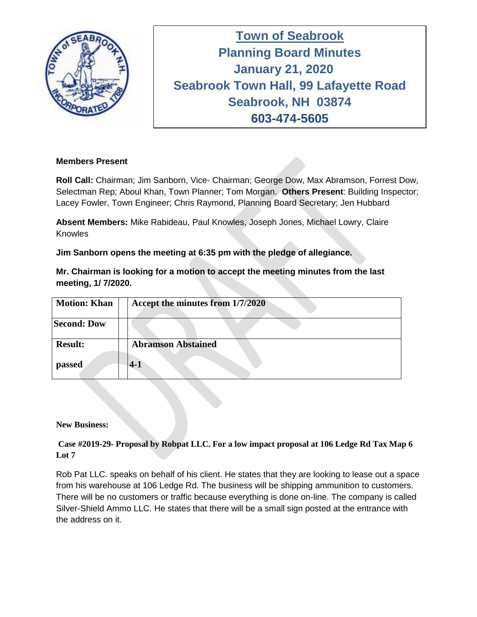

**Town of Seabrook Planning Board Minutes Tuesday April 16, 2019 January 21, 2020 Seabrook Town Hall, 99 Lafayette Road Seabrook, NH 03874 603-474-5605**

### **Members Present**

**Roll Call:** Chairman; Jim Sanborn, Vice- Chairman; George Dow, Max Abramson, Forrest Dow, Selectman Rep; Aboul Khan, Town Planner; Tom Morgan. **Others Present**: Building Inspector; Lacey Fowler, Town Engineer; Chris Raymond, Planning Board Secretary; Jen Hubbard

**Absent Members:** Mike Rabideau, Paul Knowles, Joseph Jones, Michael Lowry, Claire **Knowles** 

**Jim Sanborn opens the meeting at 6:35 pm with the pledge of allegiance.**

**Mr. Chairman is looking for a motion to accept the meeting minutes from the last meeting, 1/ 7/2020.**

| <b>Motion: Khan</b> |       | Accept the minutes from 1/7/2020 |
|---------------------|-------|----------------------------------|
| <b>Second: Dow</b>  |       |                                  |
| <b>Result:</b>      |       | <b>Abramson Abstained</b>        |
| passed              | $4-1$ |                                  |

#### **New Business:**

### **Case #2019-29- Proposal by Robpat LLC. For a low impact proposal at 106 Ledge Rd Tax Map 6 Lot 7**

Rob Pat LLC. speaks on behalf of his client. He states that they are looking to lease out a space from his warehouse at 106 Ledge Rd. The business will be shipping ammunition to customers. There will be no customers or traffic because everything is done on-line. The company is called Silver-Shield Ammo LLC. He states that there will be a small sign posted at the entrance with the address on it.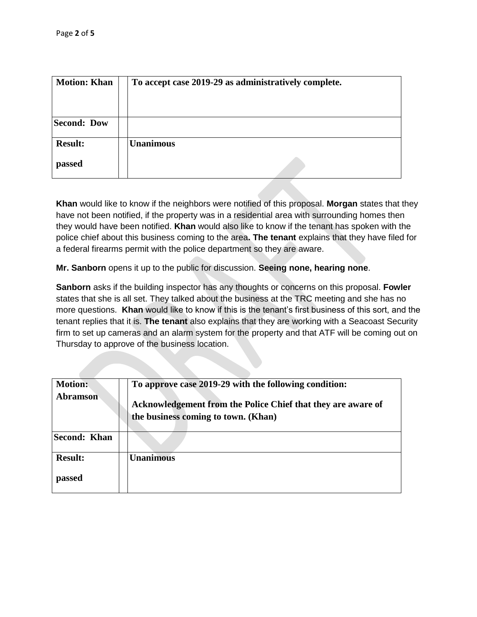| <b>Motion: Khan</b> | To accept case 2019-29 as administratively complete. |  |
|---------------------|------------------------------------------------------|--|
| <b>Second: Dow</b>  |                                                      |  |
| <b>Result:</b>      | <b>Unanimous</b>                                     |  |
| passed              |                                                      |  |

**Khan** would like to know if the neighbors were notified of this proposal. **Morgan** states that they have not been notified, if the property was in a residential area with surrounding homes then they would have been notified. **Khan** would also like to know if the tenant has spoken with the police chief about this business coming to the area**. The tenant** explains that they have filed for a federal firearms permit with the police department so they are aware.

**Mr. Sanborn** opens it up to the public for discussion. **Seeing none, hearing none**.

**Sanborn** asks if the building inspector has any thoughts or concerns on this proposal. **Fowler**  states that she is all set. They talked about the business at the TRC meeting and she has no more questions. **Khan** would like to know if this is the tenant's first business of this sort, and the tenant replies that it is. **The tenant** also explains that they are working with a Seacoast Security firm to set up cameras and an alarm system for the property and that ATF will be coming out on Thursday to approve of the business location.

| <b>Motion:</b><br><b>Abramson</b> | To approve case 2019-29 with the following condition:<br>Acknowledgement from the Police Chief that they are aware of<br>the business coming to town. (Khan) |
|-----------------------------------|--------------------------------------------------------------------------------------------------------------------------------------------------------------|
| <b>Second: Khan</b>               |                                                                                                                                                              |
| <b>Result:</b>                    | <b>Unanimous</b>                                                                                                                                             |
| passed                            |                                                                                                                                                              |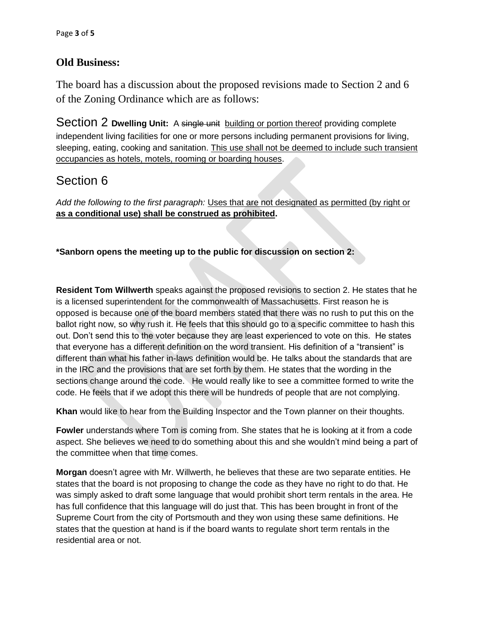## **Old Business:**

The board has a discussion about the proposed revisions made to Section 2 and 6 of the Zoning Ordinance which are as follows:

Section 2 **Dwelling Unit:** A single unit building or portion thereof providing complete independent living facilities for one or more persons including permanent provisions for living, sleeping, eating, cooking and sanitation. This use shall not be deemed to include such transient occupancies as hotels, motels, rooming or boarding houses.

# Section 6

*Add the following to the first paragraph:* Uses that are not designated as permitted (by right or **as a conditional use) shall be construed as prohibited.**

**\*Sanborn opens the meeting up to the public for discussion on section 2:**

**Resident Tom Willwerth** speaks against the proposed revisions to section 2. He states that he is a licensed superintendent for the commonwealth of Massachusetts. First reason he is opposed is because one of the board members stated that there was no rush to put this on the ballot right now, so why rush it. He feels that this should go to a specific committee to hash this out. Don't send this to the voter because they are least experienced to vote on this. He states that everyone has a different definition on the word transient. His definition of a "transient" is different than what his father in-laws definition would be. He talks about the standards that are in the IRC and the provisions that are set forth by them. He states that the wording in the sections change around the code. He would really like to see a committee formed to write the code. He feels that if we adopt this there will be hundreds of people that are not complying.

**Khan** would like to hear from the Building Inspector and the Town planner on their thoughts.

**Fowler** understands where Tom is coming from. She states that he is looking at it from a code aspect. She believes we need to do something about this and she wouldn't mind being a part of the committee when that time comes.

**Morgan** doesn't agree with Mr. Willwerth, he believes that these are two separate entities. He states that the board is not proposing to change the code as they have no right to do that. He was simply asked to draft some language that would prohibit short term rentals in the area. He has full confidence that this language will do just that. This has been brought in front of the Supreme Court from the city of Portsmouth and they won using these same definitions. He states that the question at hand is if the board wants to regulate short term rentals in the residential area or not.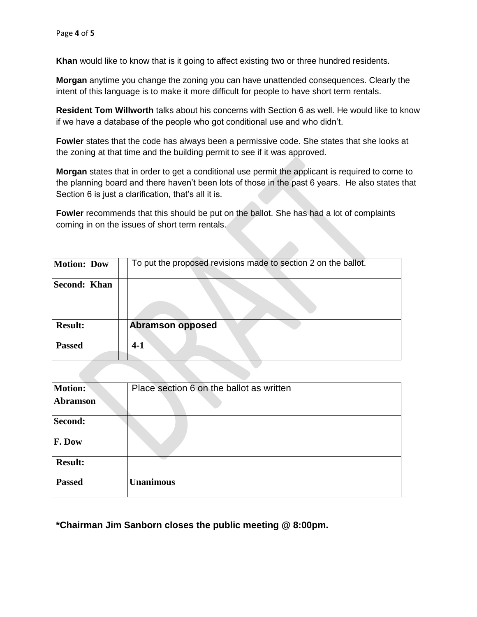**Khan** would like to know that is it going to affect existing two or three hundred residents.

**Morgan** anytime you change the zoning you can have unattended consequences. Clearly the intent of this language is to make it more difficult for people to have short term rentals.

**Resident Tom Willworth** talks about his concerns with Section 6 as well. He would like to know if we have a database of the people who got conditional use and who didn't.

**Fowler** states that the code has always been a permissive code. She states that she looks at the zoning at that time and the building permit to see if it was approved.

**Morgan** states that in order to get a conditional use permit the applicant is required to come to the planning board and there haven't been lots of those in the past 6 years. He also states that Section 6 is just a clarification, that's all it is.

**Fowler** recommends that this should be put on the ballot. She has had a lot of complaints coming in on the issues of short term rentals.

| <b>Motion: Dow</b>              | To put the proposed revisions made to section 2 on the ballot. |
|---------------------------------|----------------------------------------------------------------|
| Second: Khan                    |                                                                |
| <b>Result:</b><br><b>Passed</b> | <b>Abramson opposed</b><br>$4-1$                               |

| <b>Motion:</b> | Place section 6 on the ballot as written |
|----------------|------------------------------------------|
| Abramson       |                                          |
| Second:        |                                          |
| F. Dow         |                                          |
| <b>Result:</b> |                                          |
| <b>Passed</b>  | <b>Unanimous</b>                         |

**\*Chairman Jim Sanborn closes the public meeting @ 8:00pm.**